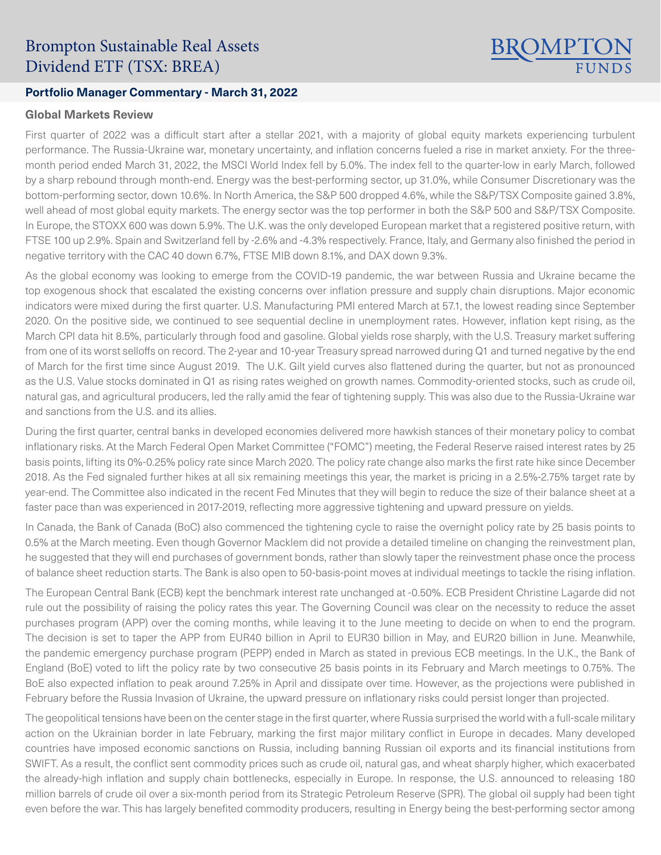# Brompton Sustainable Real Assets Dividend ETF (TSX: BREA)

### **Portfolio Manager Commentary - March 31, 2022**

#### **Global Markets Review**

First quarter of 2022 was a difficult start after a stellar 2021, with a majority of global equity markets experiencing turbulent performance. The Russia-Ukraine war, monetary uncertainty, and inflation concerns fueled a rise in market anxiety. For the threemonth period ended March 31, 2022, the MSCI World Index fell by 5.0%. The index fell to the quarter-low in early March, followed by a sharp rebound through month-end. Energy was the best-performing sector, up 31.0%, while Consumer Discretionary was the bottom-performing sector, down 10.6%. In North America, the S&P 500 dropped 4.6%, while the S&P/TSX Composite gained 3.8%, well ahead of most global equity markets. The energy sector was the top performer in both the S&P 500 and S&P/TSX Composite. In Europe, the STOXX 600 was down 5.9%. The U.K. was the only developed European market that a registered positive return, with FTSE 100 up 2.9%. Spain and Switzerland fell by -2.6% and -4.3% respectively. France, Italy, and Germany also finished the period in negative territory with the CAC 40 down 6.7%, FTSE MIB down 8.1%, and DAX down 9.3%.

BROMPTON

As the global economy was looking to emerge from the COVID-19 pandemic, the war between Russia and Ukraine became the top exogenous shock that escalated the existing concerns over inflation pressure and supply chain disruptions. Major economic indicators were mixed during the first quarter. U.S. Manufacturing PMI entered March at 57.1, the lowest reading since September 2020. On the positive side, we continued to see sequential decline in unemployment rates. However, inflation kept rising, as the March CPI data hit 8.5%, particularly through food and gasoline. Global yields rose sharply, with the U.S. Treasury market suffering from one of its worst selloffs on record. The 2-year and 10-year Treasury spread narrowed during Q1 and turned negative by the end of March for the first time since August 2019. The U.K. Gilt yield curves also flattened during the quarter, but not as pronounced as the U.S. Value stocks dominated in Q1 as rising rates weighed on growth names. Commodity-oriented stocks, such as crude oil, natural gas, and agricultural producers, led the rally amid the fear of tightening supply. This was also due to the Russia-Ukraine war and sanctions from the U.S. and its allies.

During the first quarter, central banks in developed economies delivered more hawkish stances of their monetary policy to combat inflationary risks. At the March Federal Open Market Committee ("FOMC") meeting, the Federal Reserve raised interest rates by 25 basis points, lifting its 0%-0.25% policy rate since March 2020. The policy rate change also marks the first rate hike since December 2018. As the Fed signaled further hikes at all six remaining meetings this year, the market is pricing in a 2.5%-2.75% target rate by year-end. The Committee also indicated in the recent Fed Minutes that they will begin to reduce the size of their balance sheet at a faster pace than was experienced in 2017-2019, reflecting more aggressive tightening and upward pressure on yields.

In Canada, the Bank of Canada (BoC) also commenced the tightening cycle to raise the overnight policy rate by 25 basis points to 0.5% at the March meeting. Even though Governor Macklem did not provide a detailed timeline on changing the reinvestment plan, he suggested that they will end purchases of government bonds, rather than slowly taper the reinvestment phase once the process of balance sheet reduction starts. The Bank is also open to 50-basis-point moves at individual meetings to tackle the rising inflation.

The European Central Bank (ECB) kept the benchmark interest rate unchanged at -0.50%. ECB President Christine Lagarde did not rule out the possibility of raising the policy rates this year. The Governing Council was clear on the necessity to reduce the asset purchases program (APP) over the coming months, while leaving it to the June meeting to decide on when to end the program. The decision is set to taper the APP from EUR40 billion in April to EUR30 billion in May, and EUR20 billion in June. Meanwhile, the pandemic emergency purchase program (PEPP) ended in March as stated in previous ECB meetings. In the U.K., the Bank of England (BoE) voted to lift the policy rate by two consecutive 25 basis points in its February and March meetings to 0.75%. The BoE also expected inflation to peak around 7.25% in April and dissipate over time. However, as the projections were published in February before the Russia Invasion of Ukraine, the upward pressure on inflationary risks could persist longer than projected.

The geopolitical tensions have been on the center stage in the first quarter, where Russia surprised the world with a full-scale military action on the Ukrainian border in late February, marking the first major military conflict in Europe in decades. Many developed countries have imposed economic sanctions on Russia, including banning Russian oil exports and its financial institutions from SWIFT. As a result, the conflict sent commodity prices such as crude oil, natural gas, and wheat sharply higher, which exacerbated the already-high inflation and supply chain bottlenecks, especially in Europe. In response, the U.S. announced to releasing 180 million barrels of crude oil over a six-month period from its Strategic Petroleum Reserve (SPR). The global oil supply had been tight even before the war. This has largely benefited commodity producers, resulting in Energy being the best-performing sector among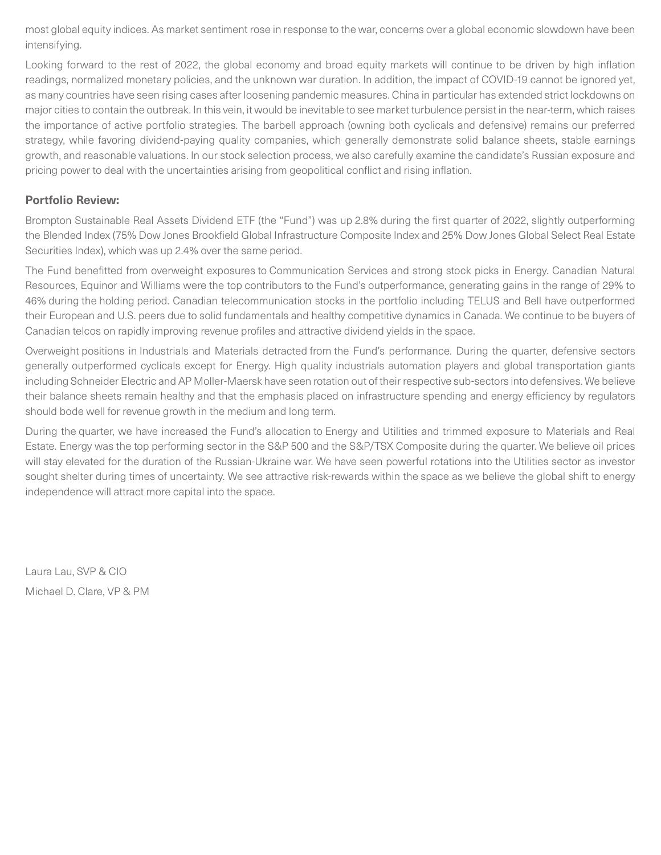most global equity indices. As market sentiment rose in response to the war, concerns over a global economic slowdown have been intensifying.

Looking forward to the rest of 2022, the global economy and broad equity markets will continue to be driven by high inflation readings, normalized monetary policies, and the unknown war duration. In addition, the impact of COVID-19 cannot be ignored yet, as many countries have seen rising cases after loosening pandemic measures. China in particular has extended strict lockdowns on major cities to contain the outbreak. In this vein, it would be inevitable to see market turbulence persist in the near-term, which raises the importance of active portfolio strategies. The barbell approach (owning both cyclicals and defensive) remains our preferred strategy, while favoring dividend-paying quality companies, which generally demonstrate solid balance sheets, stable earnings growth, and reasonable valuations. In our stock selection process, we also carefully examine the candidate's Russian exposure and pricing power to deal with the uncertainties arising from geopolitical conflict and rising inflation.

## **Portfolio Review:**

Brompton Sustainable Real Assets Dividend ETF (the "Fund") was up 2.8% during the first quarter of 2022, slightly outperforming the Blended Index (75% Dow Jones Brookfield Global Infrastructure Composite Index and 25% Dow Jones Global Select Real Estate Securities Index), which was up 2.4% over the same period.

The Fund benefitted from overweight exposures to Communication Services and strong stock picks in Energy. Canadian Natural Resources, Equinor and Williams were the top contributors to the Fund's outperformance, generating gains in the range of 29% to 46% during the holding period. Canadian telecommunication stocks in the portfolio including TELUS and Bell have outperformed their European and U.S. peers due to solid fundamentals and healthy competitive dynamics in Canada. We continue to be buyers of Canadian telcos on rapidly improving revenue profiles and attractive dividend yields in the space.

Overweight positions in Industrials and Materials detracted from the Fund's performance. During the quarter, defensive sectors generally outperformed cyclicals except for Energy. High quality industrials automation players and global transportation giants including Schneider Electric and AP Moller-Maersk have seen rotation out of their respective sub-sectors into defensives. We believe their balance sheets remain healthy and that the emphasis placed on infrastructure spending and energy efficiency by regulators should bode well for revenue growth in the medium and long term.

During the quarter, we have increased the Fund's allocation to Energy and Utilities and trimmed exposure to Materials and Real Estate. Energy was the top performing sector in the S&P 500 and the S&P/TSX Composite during the quarter. We believe oil prices will stay elevated for the duration of the Russian-Ukraine war. We have seen powerful rotations into the Utilities sector as investor sought shelter during times of uncertainty. We see attractive risk-rewards within the space as we believe the global shift to energy independence will attract more capital into the space.

Laura Lau, SVP & CIO Michael D. Clare, VP & PM